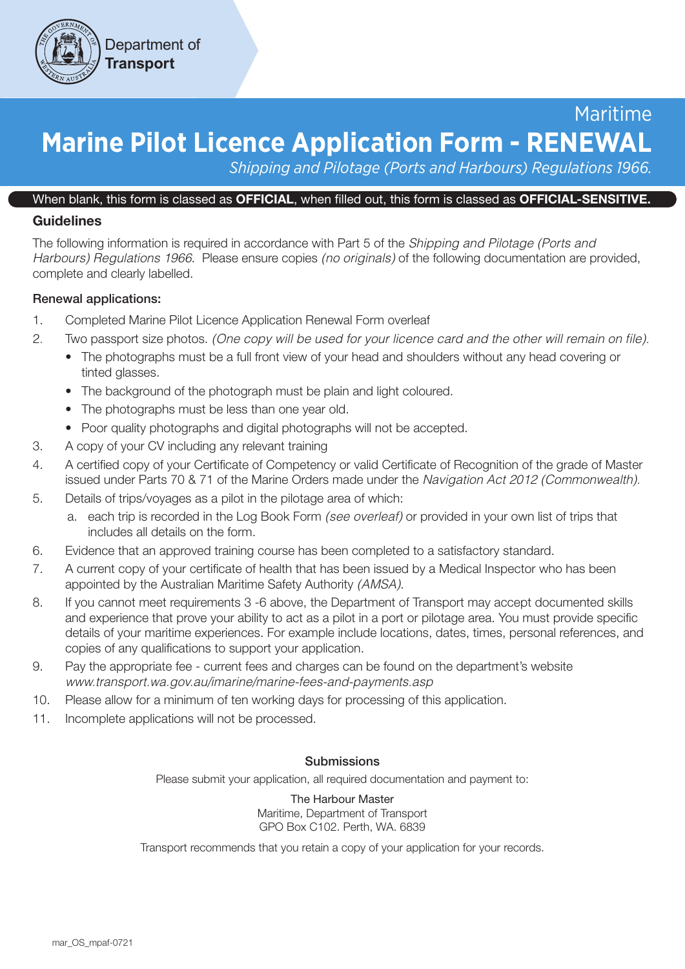

# Maritime **Marine Pilot Licence Application Form - RENEWAL**

*Shipping and Pilotage (Ports and Harbours) Regulations 1966.*

#### When blank, this form is classed as OFFICIAL, when filled out, this form is classed as OFFICIAL-SENSITIVE.

### **Guidelines**

The following information is required in accordance with Part 5 of the *Shipping and Pilotage (Ports and Harbours) Regulations 1966*. Please ensure copies *(no originals)* of the following documentation are provided, complete and clearly labelled.

#### Renewal applications:

- 1. Completed Marine Pilot Licence Application Renewal Form overleaf
- 2. Two passport size photos. *(One copy will be used for your licence card and the other will remain on file).*
	- The photographs must be a full front view of your head and shoulders without any head covering or tinted glasses.
	- The background of the photograph must be plain and light coloured.
	- The photographs must be less than one year old.
	- Poor quality photographs and digital photographs will not be accepted.
- 3. A copy of your CV including any relevant training
- 4. A certified copy of your Certificate of Competency or valid Certificate of Recognition of the grade of Master issued under Parts 70 & 71 of the Marine Orders made under the *Navigation Act 2012 (Commonwealth).*
- 5. Details of trips/voyages as a pilot in the pilotage area of which:
	- a. each trip is recorded in the Log Book Form *(see overleaf)* or provided in your own list of trips that includes all details on the form.
- 6. Evidence that an approved training course has been completed to a satisfactory standard.
- 7. A current copy of your certificate of health that has been issued by a Medical Inspector who has been appointed by the Australian Maritime Safety Authority *(AMSA)*.
- 8. If you cannot meet requirements 3 -6 above, the Department of Transport may accept documented skills and experience that prove your ability to act as a pilot in a port or pilotage area. You must provide specific details of your maritime experiences. For example include locations, dates, times, personal references, and copies of any qualifications to support your application.
- 9. Pay the appropriate fee current fees and charges can be found on the department's website *www.transport.wa.gov.au/imarine/marine-fees-and-payments.asp*
- 10. Please allow for a minimum of ten working days for processing of this application.
- 11. Incomplete applications will not be processed.

#### **Submissions**

Please submit your application, all required documentation and payment to:

The Harbour Master Maritime, Department of Transport GPO Box C102. Perth, WA. 6839

Transport recommends that you retain a copy of your application for your records.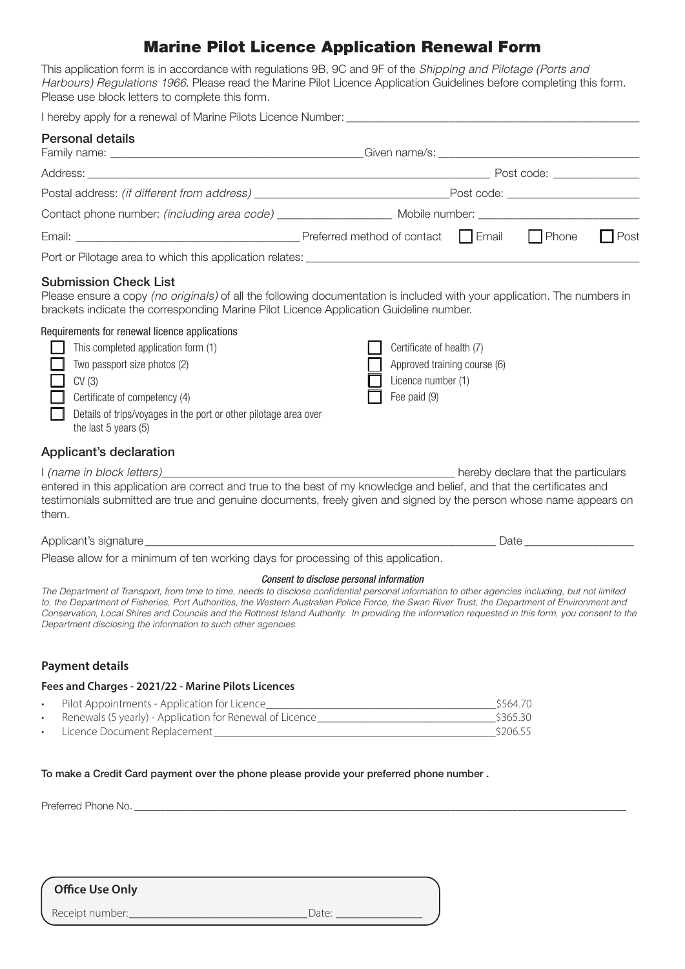# Marine Pilot Licence Application Renewal Form

This application form is in accordance with regulations 9B, 9C and 9F of the *Shipping and Pilotage (Ports and Harbours) Regulations 1966*. Please read the Marine Pilot Licence Application Guidelines before completing this form. Please use block letters to complete this form.

| <b>Personal details</b>                                                                                                                                                                                                                                                                             |                                                                                                 |  |             |
|-----------------------------------------------------------------------------------------------------------------------------------------------------------------------------------------------------------------------------------------------------------------------------------------------------|-------------------------------------------------------------------------------------------------|--|-------------|
|                                                                                                                                                                                                                                                                                                     |                                                                                                 |  |             |
|                                                                                                                                                                                                                                                                                                     |                                                                                                 |  |             |
| Contact phone number: (including area code) ______________________ Mobile number: ____________________________                                                                                                                                                                                      |                                                                                                 |  |             |
|                                                                                                                                                                                                                                                                                                     |                                                                                                 |  | $\Box$ Post |
|                                                                                                                                                                                                                                                                                                     |                                                                                                 |  |             |
| <b>Submission Check List</b><br>Please ensure a copy (no originals) of all the following documentation is included with your application. The numbers in<br>brackets indicate the corresponding Marine Pilot Licence Application Guideline number.<br>Requirements for renewal licence applications |                                                                                                 |  |             |
| This completed application form (1)<br>Two passport size photos (2)<br>CV(3)<br>Certificate of competency (4)<br>Details of trips/voyages in the port or other pilotage area over<br>the last 5 years (5)                                                                                           | Certificate of health (7)<br>Approved training course (6)<br>Licence number (1)<br>Fee paid (9) |  |             |
| Applicant's declaration                                                                                                                                                                                                                                                                             |                                                                                                 |  |             |
| entered in this application are correct and true to the best of my knowledge and belief, and that the certificates and<br>testimonials submitted are true and genuine documents, freely given and signed by the person whose name appears on<br>them.                                               |                                                                                                 |  |             |
| Applicant's signature expression and the property of the contract of the contract of the Date expression of the Date of the Contract of the Contract of the Contract of the Contract of the Contract of the Contract of the Co                                                                      |                                                                                                 |  |             |
| Please allow for a minimum of ten working days for processing of this application.                                                                                                                                                                                                                  |                                                                                                 |  |             |
| The Department of Transport, from time to time, needs to disclose confidential personal information to other agencies including, but not limited                                                                                                                                                    | Consent to disclose personal information                                                        |  |             |

*to, the Department of Fisheries, Port Authorities, the Western Australian Police Force, the Swan River Trust, the Department of Environment and Conservation, Local Shires and Councils and the Rottnest Island Authority. In providing the information requested in this form, you consent to the Department disclosing the information to such other agencies.*

#### **Payment details**

#### **Fees and Charges - 2021/22 - Marine Pilots Licences**

| Pilot Appointments - Application for Licence             | \$564.70 |
|----------------------------------------------------------|----------|
| Renewals (5 yearly) - Application for Renewal of Licence | \$365.30 |
| Licence Document Replacement                             | \$206.55 |

To make a Credit Card payment over the phone please provide your preferred phone number .

Preferred Phone No. \_\_\_\_\_\_\_\_\_\_\_\_\_\_\_\_\_\_\_\_\_\_\_\_\_\_\_\_\_\_\_\_\_\_\_\_\_\_\_\_\_\_\_\_\_\_\_\_\_\_\_\_\_\_\_\_\_\_\_\_\_\_\_\_\_\_\_\_\_\_\_\_\_\_\_\_\_\_\_\_\_\_\_\_\_\_\_\_\_\_\_\_\_\_\_

## **Office Use Only**

Receipt number:\_\_\_\_\_\_\_\_\_\_\_\_\_\_\_\_\_\_\_\_\_\_\_\_\_\_\_\_\_\_\_Date: \_\_\_\_\_\_\_\_\_\_\_\_\_\_\_